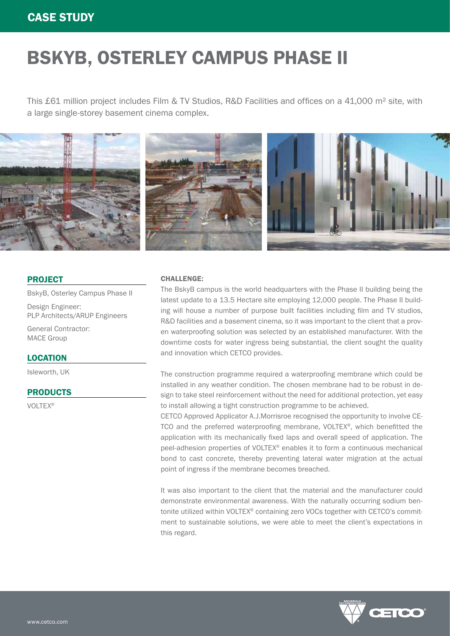### CASE STUDY

# BSKYB, OSTERLEY CAMPUS PHASE II

This £61 million project includes Film & TV Studios, R&D Facilities and offices on a 41,000 m² site, with a large single-storey basement cinema complex.



### PROJECT

BskyB, Osterley Campus Phase II

Design Engineer: PLP Architects/ARUP Engineers

General Contractor: MACE Group

### LOCATION

Isleworth, UK

### **PRODUCTS**

VOLTEX®

### CHALLENGE:

The BskyB campus is the world headquarters with the Phase II building being the latest update to a 13.5 Hectare site employing 12,000 people. The Phase II building will house a number of purpose built facilities including film and TV studios, R&D facilities and a basement cinema, so it was important to the client that a proven waterproofing solution was selected by an established manufacturer. With the downtime costs for water ingress being substantial, the client sought the quality and innovation which CETCO provides.

The construction programme required a waterproofing membrane which could be installed in any weather condition. The chosen membrane had to be robust in design to take steel reinforcement without the need for additional protection, yet easy to install allowing a tight construction programme to be achieved.

CETCO Approved Applicator A.J.Morrisroe recognised the opportunity to involve CE-TCO and the preferred waterproofing membrane, VOLTEX®, which benefitted the application with its mechanically fixed laps and overall speed of application. The peel-adhesion properties of VOLTEX® enables it to form a continuous mechanical bond to cast concrete, thereby preventing lateral water migration at the actual point of ingress if the membrane becomes breached.

It was also important to the client that the material and the manufacturer could demonstrate environmental awareness. With the naturally occurring sodium bentonite utilized within VOLTEX® containing zero VOCs together with CETCO's commitment to sustainable solutions, we were able to meet the client's expectations in this regard.